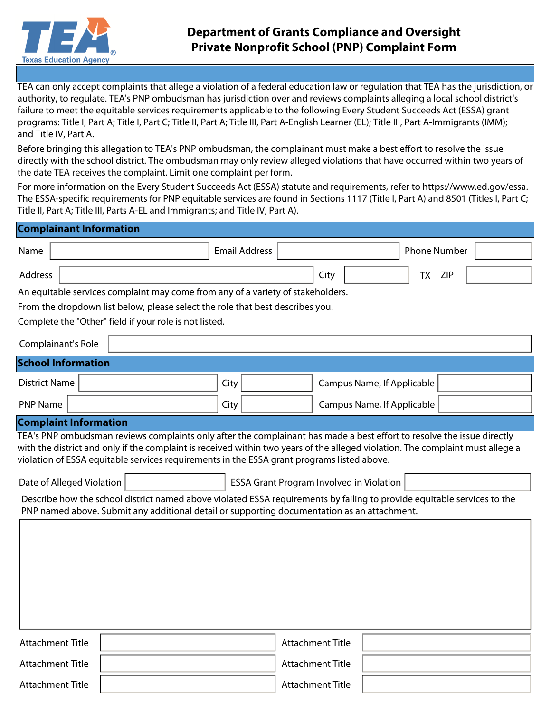

Attachment Title

Attachment Title | North State Attachment Title | Attachment Title | Attachment Title

TEA can only accept complaints that allege a violation of a federal education law or regulation that TEA has the jurisdiction, or authority, to regulate. TEA's PNP ombudsman has jurisdiction over and reviews complaints alleging a local school district's failure to meet the equitable services requirements applicable to the following Every Student Succeeds Act (ESSA) grant programs: Title I, Part A; Title I, Part C; Title II, Part A; Title III, Part A-English Learner (EL); Title III, Part A-Immigrants (IMM); and Title IV, Part A.

Before bringing this allegation to TEA's PNP ombudsman, the complainant must make a best effort to resolve the issue directly with the school district. The ombudsman may only review alleged violations that have occurred within two years of the date TEA receives the complaint. Limit one complaint per form.

For more information on the Every Student Succeeds Act (ESSA) statute and requirements, refer to https://www.ed.gov/essa. The ESSA-specific requirements for PNP equitable services are found in Sections 1117 (Title I, Part A) and 8501 (Titles I, Part C; Title II, Part A; Title III, Parts A-EL and Immigrants; and Title IV, Part A).

| <b>Complainant Information</b>                                                                                                                                                                                         |                                                                                            |                                          |                                                                                                                                                                                                                                                          |  |  |  |  |
|------------------------------------------------------------------------------------------------------------------------------------------------------------------------------------------------------------------------|--------------------------------------------------------------------------------------------|------------------------------------------|----------------------------------------------------------------------------------------------------------------------------------------------------------------------------------------------------------------------------------------------------------|--|--|--|--|
| Name                                                                                                                                                                                                                   | <b>Email Address</b>                                                                       |                                          | <b>Phone Number</b>                                                                                                                                                                                                                                      |  |  |  |  |
| Address                                                                                                                                                                                                                |                                                                                            | City                                     | <b>TX</b><br><b>ZIP</b>                                                                                                                                                                                                                                  |  |  |  |  |
| An equitable services complaint may come from any of a variety of stakeholders.                                                                                                                                        |                                                                                            |                                          |                                                                                                                                                                                                                                                          |  |  |  |  |
| From the dropdown list below, please select the role that best describes you.                                                                                                                                          |                                                                                            |                                          |                                                                                                                                                                                                                                                          |  |  |  |  |
| Complete the "Other" field if your role is not listed.                                                                                                                                                                 |                                                                                            |                                          |                                                                                                                                                                                                                                                          |  |  |  |  |
| Complainant's Role                                                                                                                                                                                                     |                                                                                            |                                          | $\left  \mathbf{v} \right $                                                                                                                                                                                                                              |  |  |  |  |
| <b>School Information</b>                                                                                                                                                                                              |                                                                                            |                                          |                                                                                                                                                                                                                                                          |  |  |  |  |
| <b>District Name</b>                                                                                                                                                                                                   | City                                                                                       |                                          | Campus Name, If Applicable                                                                                                                                                                                                                               |  |  |  |  |
| <b>PNP Name</b>                                                                                                                                                                                                        | City                                                                                       |                                          | Campus Name, If Applicable                                                                                                                                                                                                                               |  |  |  |  |
| <b>Complaint Information</b>                                                                                                                                                                                           |                                                                                            |                                          |                                                                                                                                                                                                                                                          |  |  |  |  |
|                                                                                                                                                                                                                        | violation of ESSA equitable services requirements in the ESSA grant programs listed above. |                                          | TEA's PNP ombudsman reviews complaints only after the complainant has made a best effort to resolve the issue directly<br>with the district and only if the complaint is received within two years of the alleged violation. The complaint must allege a |  |  |  |  |
| Date of Alleged Violation                                                                                                                                                                                              |                                                                                            | ESSA Grant Program Involved in Violation | $\vert \mathbf{v} \vert$                                                                                                                                                                                                                                 |  |  |  |  |
| Describe how the school district named above violated ESSA requirements by failing to provide equitable services to the<br>PNP named above. Submit any additional detail or supporting documentation as an attachment. |                                                                                            |                                          |                                                                                                                                                                                                                                                          |  |  |  |  |
|                                                                                                                                                                                                                        |                                                                                            |                                          |                                                                                                                                                                                                                                                          |  |  |  |  |
| <b>Attachment Title</b>                                                                                                                                                                                                |                                                                                            | <b>Attachment Title</b>                  |                                                                                                                                                                                                                                                          |  |  |  |  |

Attachment Title